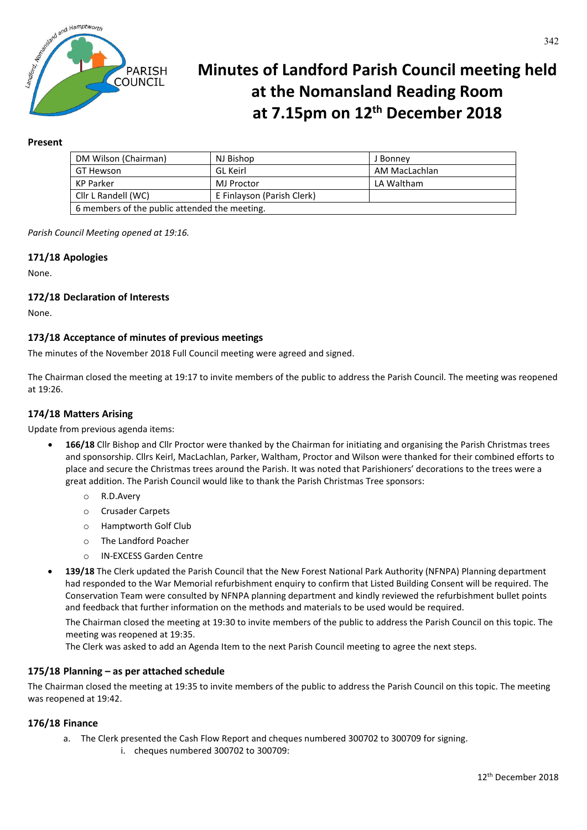

# **Minutes of Landford Parish Council meeting held at the Nomansland Reading Room at 7.15pm on 12th December 2018**

# **Present**

| DM Wilson (Chairman)                          | NJ Bishop                  | J Bonney      |
|-----------------------------------------------|----------------------------|---------------|
| GT Hewson                                     | GL Keirl                   | AM MacLachlan |
| <b>KP Parker</b>                              | MJ Proctor                 | LA Waltham    |
| Cllr L Randell (WC)                           | E Finlayson (Parish Clerk) |               |
| 6 members of the public attended the meeting. |                            |               |

*Parish Council Meeting opened at 19:16.*

# **171/18 Apologies**

None.

# **172/18 Declaration of Interests**

None.

# **173/18 Acceptance of minutes of previous meetings**

The minutes of the November 2018 Full Council meeting were agreed and signed.

The Chairman closed the meeting at 19:17 to invite members of the public to address the Parish Council. The meeting was reopened at 19:26.

#### **174/18 Matters Arising**

Update from previous agenda items:

- **166/18** Cllr Bishop and Cllr Proctor were thanked by the Chairman for initiating and organising the Parish Christmas trees and sponsorship. Cllrs Keirl, MacLachlan, Parker, Waltham, Proctor and Wilson were thanked for their combined efforts to place and secure the Christmas trees around the Parish. It was noted that Parishioners' decorations to the trees were a great addition. The Parish Council would like to thank the Parish Christmas Tree sponsors:
	- o R.D.Avery
	- o Crusader Carpets
	- o Hamptworth Golf Club
	- o The Landford Poacher
	- o IN-EXCESS Garden Centre
- **139/18** The Clerk updated the Parish Council that the New Forest National Park Authority (NFNPA) Planning department had responded to the War Memorial refurbishment enquiry to confirm that Listed Building Consent will be required. The Conservation Team were consulted by NFNPA planning department and kindly reviewed the refurbishment bullet points and feedback that further information on the methods and materials to be used would be required.

The Chairman closed the meeting at 19:30 to invite members of the public to address the Parish Council on this topic. The meeting was reopened at 19:35.

The Clerk was asked to add an Agenda Item to the next Parish Council meeting to agree the next steps.

## **175/18 Planning – as per attached schedule**

The Chairman closed the meeting at 19:35 to invite members of the public to address the Parish Council on this topic. The meeting was reopened at 19:42.

## **176/18 Finance**

- a. The Clerk presented the Cash Flow Report and cheques numbered 300702 to 300709 for signing.
	- i. cheques numbered 300702 to 300709: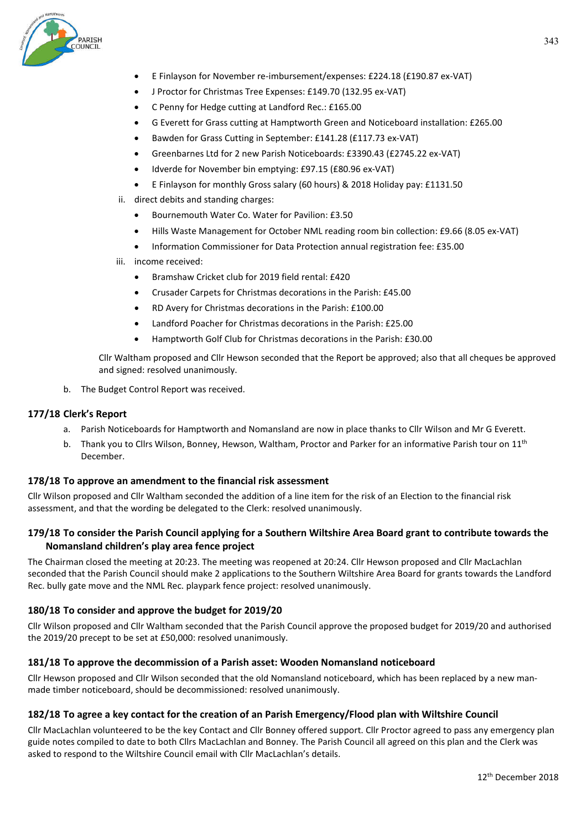

- E Finlayson for November re-imbursement/expenses: £224.18 (£190.87 ex-VAT)
- J Proctor for Christmas Tree Expenses: £149.70 (132.95 ex-VAT)
- C Penny for Hedge cutting at Landford Rec.: £165.00
- G Everett for Grass cutting at Hamptworth Green and Noticeboard installation: £265.00
- Bawden for Grass Cutting in September: £141.28 (£117.73 ex-VAT)
- Greenbarnes Ltd for 2 new Parish Noticeboards: £3390.43 (£2745.22 ex-VAT)
- Idverde for November bin emptying: £97.15 (£80.96 ex-VAT)
- E Finlayson for monthly Gross salary (60 hours) & 2018 Holiday pay: £1131.50
- ii. direct debits and standing charges:
	- Bournemouth Water Co. Water for Pavilion: £3.50
	- Hills Waste Management for October NML reading room bin collection: £9.66 (8.05 ex-VAT)
	- Information Commissioner for Data Protection annual registration fee: £35.00
- iii. income received:
	- Bramshaw Cricket club for 2019 field rental: £420
	- Crusader Carpets for Christmas decorations in the Parish: £45.00
	- RD Avery for Christmas decorations in the Parish: £100.00
	- Landford Poacher for Christmas decorations in the Parish: £25.00
	- Hamptworth Golf Club for Christmas decorations in the Parish: £30.00

Cllr Waltham proposed and Cllr Hewson seconded that the Report be approved; also that all cheques be approved and signed: resolved unanimously.

b. The Budget Control Report was received.

## **177/18 Clerk's Report**

- a. Parish Noticeboards for Hamptworth and Nomansland are now in place thanks to Cllr Wilson and Mr G Everett.
- b. Thank you to Cllrs Wilson, Bonney, Hewson, Waltham, Proctor and Parker for an informative Parish tour on 11<sup>th</sup> December.

## **178/18 To approve an amendment to the financial risk assessment**

Cllr Wilson proposed and Cllr Waltham seconded the addition of a line item for the risk of an Election to the financial risk assessment, and that the wording be delegated to the Clerk: resolved unanimously.

# **179/18 To consider the Parish Council applying for a Southern Wiltshire Area Board grant to contribute towards the Nomansland children's play area fence project**

The Chairman closed the meeting at 20:23. The meeting was reopened at 20:24. Cllr Hewson proposed and Cllr MacLachlan seconded that the Parish Council should make 2 applications to the Southern Wiltshire Area Board for grants towards the Landford Rec. bully gate move and the NML Rec. playpark fence project: resolved unanimously.

## **180/18 To consider and approve the budget for 2019/20**

Cllr Wilson proposed and Cllr Waltham seconded that the Parish Council approve the proposed budget for 2019/20 and authorised the 2019/20 precept to be set at £50,000: resolved unanimously.

## **181/18 To approve the decommission of a Parish asset: Wooden Nomansland noticeboard**

Cllr Hewson proposed and Cllr Wilson seconded that the old Nomansland noticeboard, which has been replaced by a new manmade timber noticeboard, should be decommissioned: resolved unanimously.

## **182/18 To agree a key contact for the creation of an Parish Emergency/Flood plan with Wiltshire Council**

Cllr MacLachlan volunteered to be the key Contact and Cllr Bonney offered support. Cllr Proctor agreed to pass any emergency plan guide notes compiled to date to both Cllrs MacLachlan and Bonney. The Parish Council all agreed on this plan and the Clerk was asked to respond to the Wiltshire Council email with Cllr MacLachlan's details.